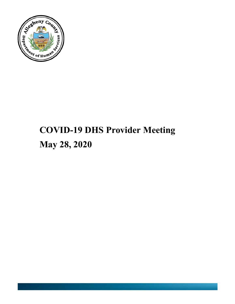

# **COVID-19 DHS Provider Meeting May 28, 2020**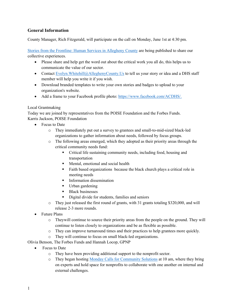# **General Information**

County Manager, Rich Fitzgerald, will participate on the call on Monday, June 1st at 4:30 pm.

[Stories from the Frontline: Human Services in Allegheny County](http://dhstraumaresourcelibrary.alleghenycounty.us/covid-19-information-for-dhs-providers/frontline-stories/) are being published to share our collective experiences.

- Please share and help get the word out about the critical work you all do, this helps us to communicate the value of our sector.
- Contact Evelyn. Whitehill@AlleghenyCounty. Us to tell us your story or idea and a DHS staff member will help you write it if you wish.
- Download branded templates to write your own stories and badges to upload to your organization's website.
- Add a frame to your Facebook profile photo: [https://www.facebook.com/ACDHS/.](https://www.facebook.com/ACDHS/)

## Local Grantmaking

Today we are joined by representatives from the POISE Foundation and the Forbes Funds. Karris Jackson, POISE Foundation

- Focus to Date
	- o They immediately put out a survey to grantees and small-to-mid-sized black-led organizations to gather information about needs, followed by focus groups.
	- o The following areas emerged, which they adopted as their priority areas through the critical community needs fund:
		- Critical life sustaining community needs, including food, housing and transportation
		- **Mental, emotional and social health**
		- Faith based organizations because the black church plays a critical role in meeting needs
		- **Information dissemination**
		- Urban gardening
		- **Black businesses**
		- Digital divide for students, families and seniors
	- o They just released the first round of grants, with 31 grants totaling \$320,000, and will release 2-3 more rounds.
- Future Plans
	- o Theywill continue to source their priority areas from the people on the ground. They will continue to listen closely to organizations and be as flexible as possible.
	- o They can improve turnaround times and their practices to help grantees more quickly.
	- o They will continue to focus on small black-led organizations.

Olivia Benson, The Forbes Funds and Hannah Locop, GPNP

- Focus to Date
	- o They have been providing additional support to the nonprofit sector.
	- o They began hosting Monday [Calls for Community Solutions](https://forms.gle/13dsRMpfxkWWqpEC9) at 10 am, where they bring on experts and hold space for nonprofits to collaborate with one another on internal and external challenges.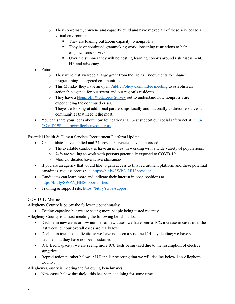- o They coordinate, convene and capacity build and have moved all of these services to a virtual environment.
	- They are loaning out Zoom capacity to nonprofits
	- They have continued grantmaking work, loosening restrictions to help organizations survive
	- Over the summer they will be hosting learning cohorts around risk assessment, HR and advocacy.
- Future
	- o They were just awarded a large grant from the Heinz Endowments to enhance programming in targeted communities
	- o This Monday they have an [open Public Policy Committee meeting](https://bit.ly/june1_GPNP) to establish an actionable agenda for our sector and our region's residents.
	- o They have a [Nonprofit Workforce Survey](https://www.surveymonkey.com/r/R9QV9J6) out to understand how nonprofits are experiencing the continued crisis.
	- o Theye are looking at additional partnerships locally and nationally to direct resources to communities that need it the most.
- You can share your ideas about how foundations can best support our social safety net at [DHS-](mailto:DHS-COVID19Planning@alleghenycounty.us)[COVID19Planning@alleghenycounty.us](mailto:DHS-COVID19Planning@alleghenycounty.us)

Essential Health & Human Services Recruitment Platform Update

- 70 candidates have applied and 24 provider agencies have onboarded.
	- o The available candidates have an interest in working with a wide variety of populations.
	- o 74% are willing to work with persons potentially exposed to COVD-19.
	- o Most candidates have active clearances.
- If you are an agency that would like to gain access to this recruitment platform and these potential canadines, request access via: [https://bit.ly/SWPA\\_HHSprovider.](https://bit.ly/SWPA_HHSprovider)
- Candidates can learn more and indicate their interest in open positions at [https://bit.ly/SWPA\\_HHSopportunities.](https://bit.ly/SWPA_HHSopportunities)
- Training & support site:<https://bit.ly/swpa-support>

## COVID-19 Metrics

Allegheny County is below the following benchmarks:

• Testing capacity: but we are seeing more people being tested recently

Allegheny County is almost meeting the following benchmarks:

- Decline in new cases or low number of new cases: we have seen a 10% increase in cases over the last week, but our overall cases are really low.
- Decline in total hospitalizations: we have not seen a sustained 14-day decline; we have seen declines but they have not been sustained.
- ICU Bed Capacity: we are seeing more ICU beds being used due to the resumption of elective surgeries.
- Reproduction number below 1: U Penn is projecting that we will decline below 1 in Allegheny County.

Allegheny County is meeting the following benchmarks:

• New cases below threshold: this has been declining for some time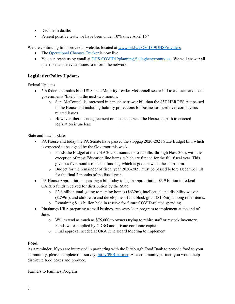- Decline in deaths
- Percent positive tests: we have been under  $10\%$  since April  $16<sup>th</sup>$

We are continuing to improve our website, located at [www.bit.ly/COVID19DHSProviders.](http://www.bit.ly/COVID19DHSProviders)

- The [Operational Changes Tracker](https://tableau.alleghenycounty.us/t/PublicSite/views/AlleghenyCountyHumanServicesOperationalChangesTracker/LandingPage?iframeSizedToWindow=true&%3Aembed=y&%3AshowAppBanner=false&%3Adisplay_count=no&%3AshowVizHome=no&%3Aorigin=viz_share_link#1) is now live.
- You can reach us by email at **DHS-COVID19planning@alleghenycounty.us**. We will answer all questions and elevate issues to inform the network.

# **Legislative/Policy Updates**

Federal Updates

- 5th federal stimulus bill: US Senate Majority Leader McConnell sees a bill to aid state and local governments "likely" in the next two months.
	- o Sen. McConnell is interested in a much narrower bill than the \$3T HEROES Act passed in the House and including liability protections for businesses sued over coronavirusrelated issues.
	- o However, there is no agreement on next steps with the House, so path to enacted legislation is unclear.

State and local updates

- PA House and today the PA Senate have passed the stopgap 2020-2021 State Budget bill, which is expected to be signed by the Governor this week.
	- o Funds the Budget at the 2019-2020 amounts for 5 months, through Nov. 30th, with the exception of most Education line items, which are funded for the full fiscal year. This gives us five months of stable funding, which is good news in the short term.
	- o Budget for the remainder of fiscal year 2020-2021 must be passed before December 1st for the final 7 months of the fiscal year.
- PA House Appropriations passing a bill today to begin appropriating \$3.9 billion in federal CARES funds received for distribution by the State.
	- $\circ$  \$2.6 billion total, going to nursing homes (\$632m), intellectual and disability waiver (\$259m), and child-care and development fund block grant (\$106m), among other items.
	- o Remaining \$1.3 billion held in reserve for future COVID-related spending.
- Pittsburgh URA preparing a small business recovery loan program to implement at the end of June.
	- o Will extend as much as \$75,000 to owners trying to rehire staff or restock inventory. Funds were supplied by CDBG and private corporate capital.
	- o Final approval needed at URA June Board Meeting to implement.

# **Food**

As a reminder, If you are interested in partnering with the Pittsburgh Food Bank to provide food to your community, please complete this survey: [bit.ly/PFB-partner.](https://bit.ly/PghFB_partner) As a community partner, you would help distribute food boxes and produce.

Farmers to Families Program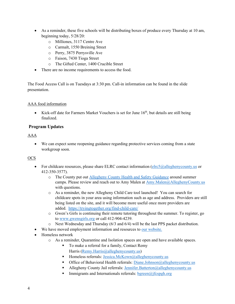- As a reminder, these five schools will be distributing boxes of produce every Thursday at 10 am, beginning today, 5/28/20:
	- o Milliones, 3117 Centre Ave
	- o Carmalt, 1550 Breining Street
	- o Perry, 3875 Perrysville Ave
	- o Faison, 7430 Tioga Street
	- o The Gifted Center, 1400 Crucible Street
- There are no income requirements to access the food.

The Food Access Call is on Tuesdays at 3:30 pm. Call-in information can be found in the slide presentation.

## AAA food information

• Kick-off date for Farmers Market Vouchers is set for June  $16<sup>th</sup>$ , but details are still being finalized.

## **Program Updates**

## AAA

• We can expect some reopening guidance regarding protective services coming from a state workgroup soon.

## OCS

- For childcare resources, please share ELRC contact information  $\frac{\text{clrc5}(a) \text{alleghenycounty.us}}{\text{clrc5}}$  or 412-350-3577).
	- o The County put out [Allegheny County Health and Safety Guidance](http://dhstraumaresourcelibrary.alleghenycounty.us/wp-content/uploads/2020/05/Summer-Camp-Guidance_5.26.20.pdf) around summer camps. Please review and reach out to Amy Malen at [Amy.Malen@AlleghenyCounty.us](mailto:Amy.Malen@AlleghenyCounty.us) with questions.
	- o As a reminder, the new Allegheny Child Care tool launched! You can search for childcare spots in your area using information such as age and address. Providers are still being listed on the site, and it will become more useful once more providers are added. <https://tryingtogether.org/find-child-care/>
	- o Gwen's Girls is continuing their remote tutoring throughout the summer. To register, go to [www.gwensgirls.org](http://www.gwensgirls.org/) or call 412-904-4239.
	- o Next Wednesday and Thursday (6/3 and 6/4) will be the last PPS packet distribution.
- We have moved employment information and resources to our [website.](https://bit.ly/COVID19DHSProviders)
- Homeless network
	- o As a reminder, Quarantine and Isolation spaces are open and have available spaces.
		- To make a referral for a family, Contact Remy Harris [\(Remy.Harris@alleghenycounty.us\)](mailto:Remy.Harris@alleghenycounty.us)
		- Homeless referrals: [Jessica.McKown@alleghenycounty.us](mailto:Jessica.Mckown@alleghenycounty.us)
		- **Office of Behavioral Health referrals:** [Diane.Johnson@alleghenycounty.us](mailto:Diane.Johnson@alleghenycounty.us)
		- Allegheny County Jail referrals: [Jennifer.Batterton@alleghenycounty.us](mailto:Jennifer.Batterton@alleghenycounty.us)
		- Immigrants and Internationals referrals:  $bgreen(\widehat{a})$  if cspgh.org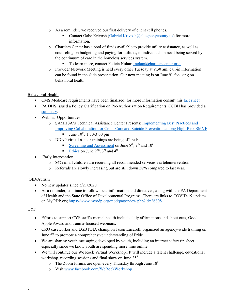- o As a reminder, we received our first delivery of client cell phones.
	- Contact Gabe Krivosh [\(Gabriel.Krivosh@alleghenycounty.us\)](mailto:Gabriel.Krivosh@alleghenycounty.us) for more information.
- o Chartiers Center has a pool of funds available to provide utility assistance, as well as counseling on budgeting and paying for utilities, to individuals in need being served by the continuum of care in the homeless services system.
	- To learn more, contact Felicia Nolan:  $f_{\text{no}}$ lan $\omega$ chartierscenter.org.
- o Provider Network Meeting is held every other Tuesday at 9:30 am; call-in information can be found in the slide presentation. Our next meeting is on June  $9<sup>th</sup>$  focusing on behavioral health.

#### Behavioral Health

- CMS Medicare requirements have been finalized; for more information consult this [fact sheet.](https://www.cms.gov/newsroom/fact-sheets/contract-year-2021-medicare-advantage-and-part-d-final-rule-cms-4190-f1-fact-sheet)
- PA DHS issued a Policy Clarification on Pre-Authorization Requirements. CCBH has provided a [summary.](https://providers.ccbh.com/uploads/files/Provider-Alerts/20200521-alert13-prior-auth-covid19-emergency-declaration.pdf)
- Webinar Opportunities
	- o SAMHSA's Technical Assistance Center Presents: [Implementing Best Practices and](https://gcc01.safelinks.protection.outlook.com/?url=https%3A%2F%2Fgo.thenationalcouncil.org%2FTKbME0i07000HJA30R0WfF0&data=02%7C01%7Cdenise.macerelli%40alleghenycounty.us%7Cb02fec006a8f4b70009008d7fce5c57d%7Ce0273d12e4cb4eb19f708bba16fb968d%7C0%7C0%7C637255936118920640&sdata=oP9UJwJf647hXk0ACDSgD86g39F1DauZv0ICrAMhUPA%3D&reserved=0)  [Improving Collaboration for Crisis Care and Suicide Prevention among High-Risk SMVF](https://gcc01.safelinks.protection.outlook.com/?url=https%3A%2F%2Fgo.thenationalcouncil.org%2FTKbME0i07000HJA30R0WfF0&data=02%7C01%7Cdenise.macerelli%40alleghenycounty.us%7Cb02fec006a8f4b70009008d7fce5c57d%7Ce0273d12e4cb4eb19f708bba16fb968d%7C0%7C0%7C637255936118920640&sdata=oP9UJwJf647hXk0ACDSgD86g39F1DauZv0ICrAMhUPA%3D&reserved=0)
		- Ultimary 10<sup>th</sup>, 1:30-3:00 pm
	- o DDAP virtual 6-hour trainings are being offered:
		- [Screening and Assessment](https://alleghenycounty-my.sharepoint.com/:b:/g/personal/christina_matsook_alleghenycounty_us/EVYTkUlq_t1CjyETh_Y49QoB4qCvTMRrpXuYPtYCUoYgfg?e=NY26go) on June  $8<sup>th</sup>$ ,  $9<sup>th</sup>$  and  $10<sup>th</sup>$
		- [Ethics](https://alleghenycounty-my.sharepoint.com/:b:/g/personal/christina_matsook_alleghenycounty_us/EQIfSoAiFaRElIlOGmg3kwsBnZa_XpMfSU6ZCn4biNPsMA?e=vanTCQ) on June  $2<sup>nd</sup>$ ,  $3<sup>rd</sup>$  and  $4<sup>th</sup>$
- Early Intervention
	- o 84% of all children are receiving all recommended services via teleintervention.
	- o Referrals are slowly increasing but are still down 28% compared to last year.

#### OID/Autism

- No new updates since  $5/21/2020$
- As a reminder, continue to follow local information and directives, along with the PA Department of Health and the State Office of Developmental Programs. There are links to COVID-19 updates on MyODP.org [https://www.myodp.org/mod/page/view.php?id=26808.](https://www.myodp.org/mod/page/view.php?id=26808)

#### CYF

- Efforts to support CYF staff's mental health include daily affirmations and shout outs, Good Apple Award and trauma-focused webinars.
- CRO caseworker and LGBTQIA champion Jason Lucarelli organized an agency-wide training on June  $5<sup>th</sup>$  to promote a comprehensive understanding of Pride.
- We are sharing youth messaging developed by youth, including an internet safety tip sheet, especially since we know youth are spending more time online.
- We will continue our We Rock Virtual Workshop.. It will include a talent challenge, educational workshop, recording sessions and final show on June  $25<sup>th</sup>$ .
	- $\circ$  The Zoom forums are open every Thursday through June 18<sup>th</sup>
	- o Visit [www.facebook.com/WeRockWorkshop](http://www.facebook.com/WeRockWorkshop)